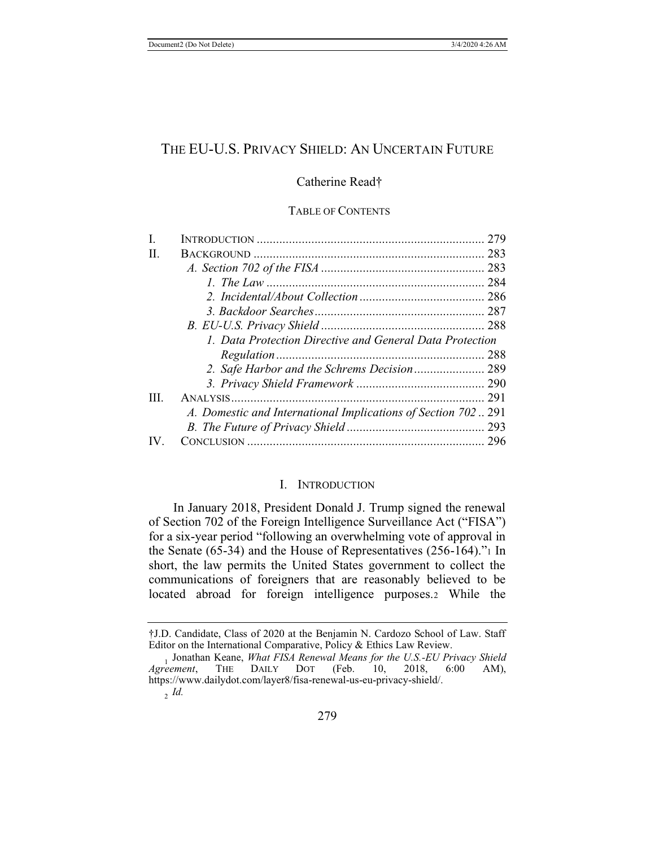# THE EU-U.S. PRIVACY SHIELD: AN UNCERTAIN FUTURE

## Catherine Read†

### TABLE OF CONTENTS

| $\mathbf{I}$ . |                                                              |  |
|----------------|--------------------------------------------------------------|--|
| H.             |                                                              |  |
|                |                                                              |  |
|                |                                                              |  |
|                |                                                              |  |
|                |                                                              |  |
|                |                                                              |  |
|                | 1. Data Protection Directive and General Data Protection     |  |
|                |                                                              |  |
|                |                                                              |  |
|                |                                                              |  |
| Ш              |                                                              |  |
|                | A. Domestic and International Implications of Section 702291 |  |
|                |                                                              |  |
|                |                                                              |  |
|                |                                                              |  |

### I. INTRODUCTION

In January 2018, President Donald J. Trump signed the renewal of Section 702 of the Foreign Intelligence Surveillance Act ("FISA") for a six-year period "following an overwhelming vote of approval in the Senate (65-34) and the House of Representatives (256-164)."1 In short, the law permits the United States government to collect the communications of foreigners that are reasonably believed to be located abroad for foreign intelligence purposes.2 While the

<sup>†</sup>J.D. Candidate, Class of 2020 at the Benjamin N. Cardozo School of Law. Staff Editor on the International Comparative, Policy & Ethics Law Review.

<sup>1</sup> Jonathan Keane, *What FISA Renewal Means for the U.S.-EU Privacy Shield Agreement*, https://www.dailydot.com/layer8/fisa-renewal-us-eu-privacy-shield/.

<sup>2</sup> *Id.*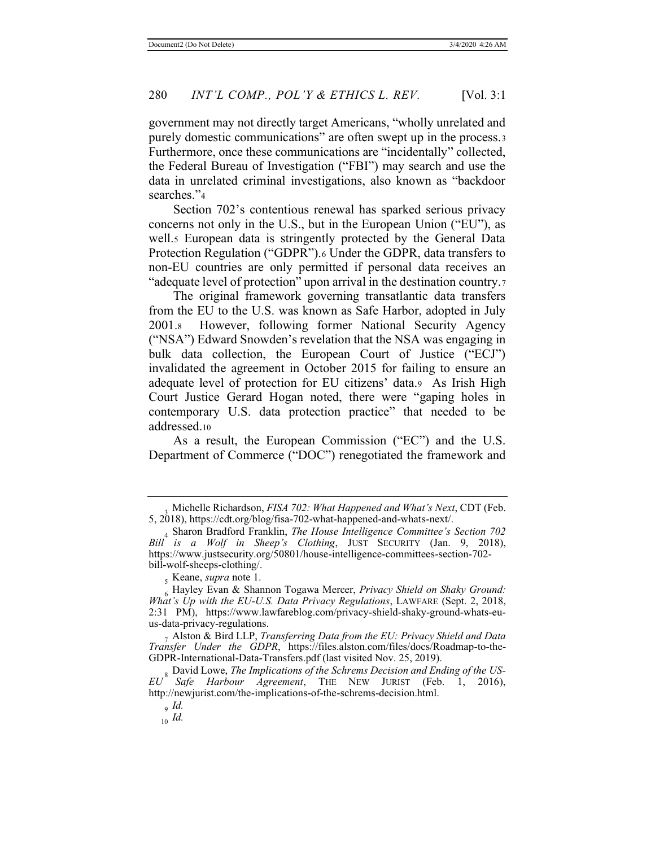government may not directly target Americans, "wholly unrelated and purely domestic communications" are often swept up in the process.<sup>3</sup> Furthermore, once these communications are "incidentally" collected, the Federal Bureau of Investigation ("FBI") may search and use the data in unrelated criminal investigations, also known as "backdoor searches."<sup>4</sup>

Section 702's contentious renewal has sparked serious privacy concerns not only in the U.S., but in the European Union ("EU"), as well.<sub>5</sub> European data is stringently protected by the General Data Protection Regulation ("GDPR").6 Under the GDPR, data transfers to non-EU countries are only permitted if personal data receives an "adequate level of protection" upon arrival in the destination country.<sup>7</sup>

The original framework governing transatlantic data transfers from the EU to the U.S. was known as Safe Harbor, adopted in July 2001.8 However, following former National Security Agency ("NSA") Edward Snowden's revelation that the NSA was engaging in bulk data collection, the European Court of Justice ("ECJ") invalidated the agreement in October 2015 for failing to ensure an adequate level of protection for EU citizens' data.9 As Irish High Court Justice Gerard Hogan noted, there were "gaping holes in contemporary U.S. data protection practice" that needed to be addressed.10

As a result, the European Commission ("EC") and the U.S. Department of Commerce ("DOC") renegotiated the framework and

<sup>3</sup> Michelle Richardson, *FISA 702: What Happened and What's Next*, CDT (Feb. 5, 2018), https://cdt.org/blog/fisa-702-what-happened-and-whats-next/.

<sup>4</sup> Sharon Bradford Franklin, *The House Intelligence Committee's Section 702 Bill is a Wolf in Sheep's Clothing*, JUST SECURITY (Jan. 9, 2018), https://www.justsecurity.org/50801/house-intelligence-committees-section-702 bill-wolf-sheeps-clothing/.

<sup>5</sup> Keane, *supra* note 1.

<sup>6</sup> Hayley Evan & Shannon Togawa Mercer, *Privacy Shield on Shaky Ground: What's Up with the EU-U.S. Data Privacy Regulations*, LAWFARE (Sept. 2, 2018, 2:31 PM), https://www.lawfareblog.com/privacy-shield-shaky-ground-whats-euus-data-privacy-regulations.

<sup>7</sup> Alston & Bird LLP, *Transferring Data from the EU: Privacy Shield and Data Transfer Under the GDPR*, https://files.alston.com/files/docs/Roadmap-to-the-GDPR-International-Data-Transfers.pdf (last visited Nov. 25, 2019).

<sup>8</sup> David Lowe, *The Implications of the Schrems Decision and Ending of the US-EU Safe Harbour Agreement*, THE NEW JURIST (Feb. 1, 2016), http://newjurist.com/the-implications-of-the-schrems-decision.html.

<sup>9</sup> *Id.*

<sup>10</sup> *Id.*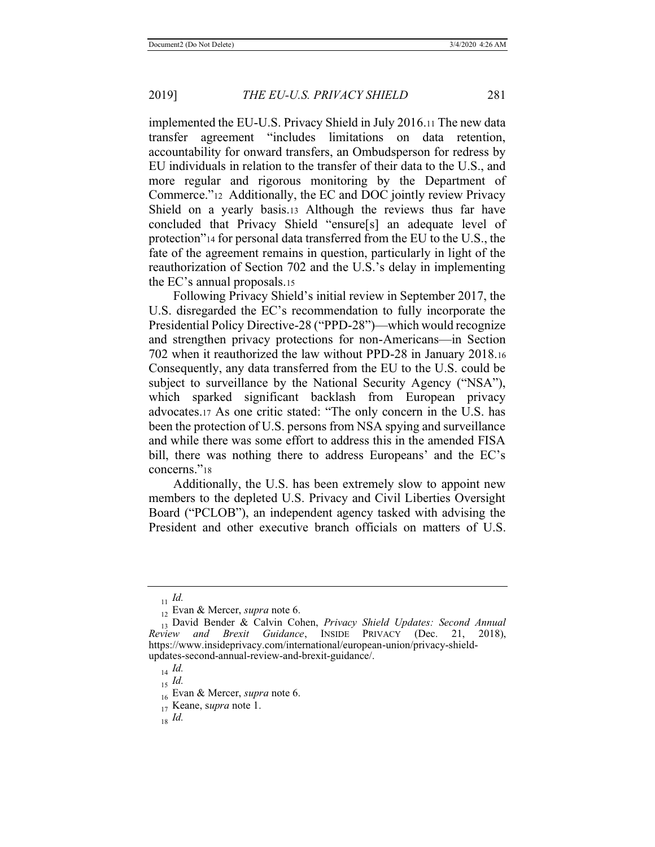implemented the EU-U.S. Privacy Shield in July 2016.11 The new data transfer agreement "includes limitations on data retention, accountability for onward transfers, an Ombudsperson for redress by EU individuals in relation to the transfer of their data to the U.S., and more regular and rigorous monitoring by the Department of Commerce."12 Additionally, the EC and DOC jointly review Privacy Shield on a yearly basis.13 Although the reviews thus far have concluded that Privacy Shield "ensure[s] an adequate level of protection"14 for personal data transferred from the EU to the U.S., the fate of the agreement remains in question, particularly in light of the reauthorization of Section 702 and the U.S.'s delay in implementing the EC's annual proposals.15

Following Privacy Shield's initial review in September 2017, the U.S. disregarded the EC's recommendation to fully incorporate the Presidential Policy Directive-28 ("PPD-28")—which would recognize and strengthen privacy protections for non-Americans—in Section 702 when it reauthorized the law without PPD-28 in January 2018.16 Consequently, any data transferred from the EU to the U.S. could be subject to surveillance by the National Security Agency ("NSA"), which sparked significant backlash from European privacy advocates.17 As one critic stated: "The only concern in the U.S. has been the protection of U.S. persons from NSA spying and surveillance and while there was some effort to address this in the amended FISA bill, there was nothing there to address Europeans' and the EC's concerns."<sup>18</sup>

Additionally, the U.S. has been extremely slow to appoint new members to the depleted U.S. Privacy and Civil Liberties Oversight Board ("PCLOB"), an independent agency tasked with advising the President and other executive branch officials on matters of U.S.

<sup>11</sup> *Id.*

<sup>12</sup> Evan & Mercer, *supra* note 6.

<sup>13</sup> David Bender & Calvin Cohen, *Privacy Shield Updates: Second Annual Review and Brexit Guidance*, INSIDE PRIVACY (Dec. 21, 2018), https://www.insideprivacy.com/international/european-union/privacy-shieldupdates-second-annual-review-and-brexit-guidance/.

<sup>14</sup> *Id.*

<sup>15</sup> *Id.*

<sup>16</sup> Evan & Mercer, *supra* note 6.

<sup>17</sup> Keane, s*upra* note 1.

<sup>18</sup> *Id.*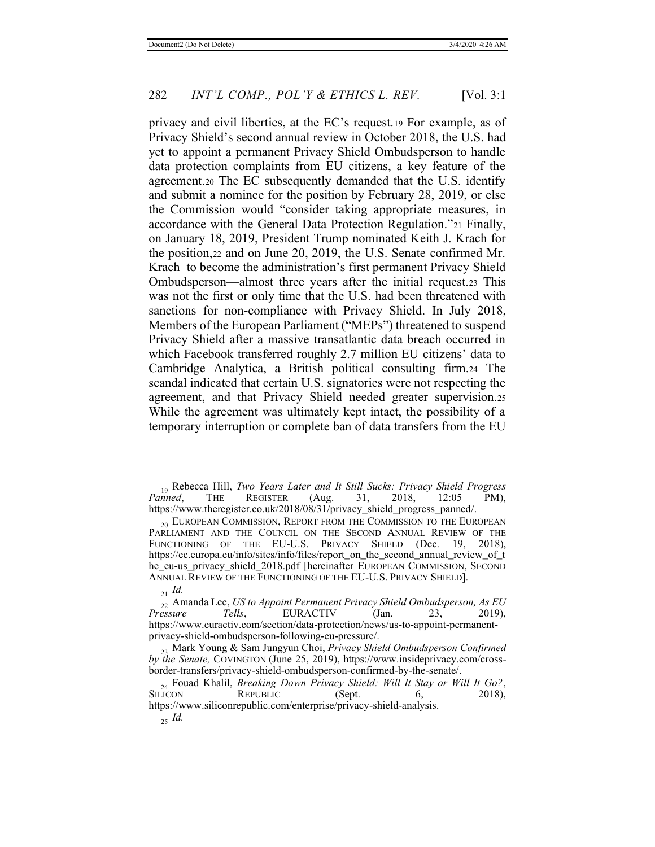privacy and civil liberties, at the EC's request.19 For example, as of Privacy Shield's second annual review in October 2018, the U.S. had yet to appoint a permanent Privacy Shield Ombudsperson to handle data protection complaints from EU citizens, a key feature of the agreement.20 The EC subsequently demanded that the U.S. identify and submit a nominee for the position by February 28, 2019, or else the Commission would "consider taking appropriate measures, in accordance with the General Data Protection Regulation."21 Finally, on January 18, 2019, President Trump nominated Keith J. Krach for the position,22 and on June 20, 2019, the U.S. Senate confirmed Mr. Krach to become the administration's first permanent Privacy Shield Ombudsperson—almost three years after the initial request.23 This was not the first or only time that the U.S. had been threatened with sanctions for non-compliance with Privacy Shield. In July 2018, Members of the European Parliament ("MEPs") threatened to suspend Privacy Shield after a massive transatlantic data breach occurred in which Facebook transferred roughly 2.7 million EU citizens' data to Cambridge Analytica, a British political consulting firm.24 The scandal indicated that certain U.S. signatories were not respecting the agreement, and that Privacy Shield needed greater supervision.25 While the agreement was ultimately kept intact, the possibility of a temporary interruption or complete ban of data transfers from the EU

<sup>19</sup> Rebecca Hill, *Two Years Later and It Still Sucks: Privacy Shield Progress*   $R$ *EGISTER* https://www.theregister.co.uk/2018/08/31/privacy\_shield\_progress\_panned/.

 $_{20}$  EUROPEAN COMMISSION, REPORT FROM THE COMMISSION TO THE EUROPEAN PARLIAMENT AND THE COUNCIL ON THE SECOND ANNUAL REVIEW OF THE FUNCTIONING OF THE EU-U.S. PRIVACY SHIELD (Dec. 19, 2018), https://ec.europa.eu/info/sites/info/files/report\_on\_the\_second\_annual\_review\_of\_t he eu-us privacy shield 2018.pdf [hereinafter EUROPEAN COMMISSION, SECOND ANNUAL REVIEW OF THE FUNCTIONING OF THE EU-U.S. PRIVACY SHIELD].

<sup>21</sup> *Id.*

<sup>22</sup> Amanda Lee, *US to Appoint Permanent Privacy Shield Ombudsperson, As EU Pressure Tells*, EURACTIV (Jan. 23, 2019), https://www.euractiv.com/section/data-protection/news/us-to-appoint-permanentprivacy-shield-ombudsperson-following-eu-pressure/.

<sup>23</sup> Mark Young & Sam Jungyun Choi, *Privacy Shield Ombudsperson Confirmed by the Senate,* COVINGTON (June 25, 2019), https://www.insideprivacy.com/crossborder-transfers/privacy-shield-ombudsperson-confirmed-by-the-senate/.

<sup>&</sup>lt;sup>24</sup> Fouad Khalil, *Breaking Down Privacy Shield: Will It Stay or Will It Go?*, SILICON REPUBLIC (Sept. 6, 2018), **REPUBLIC** https://www.siliconrepublic.com/enterprise/privacy-shield-analysis. 25 *Id.*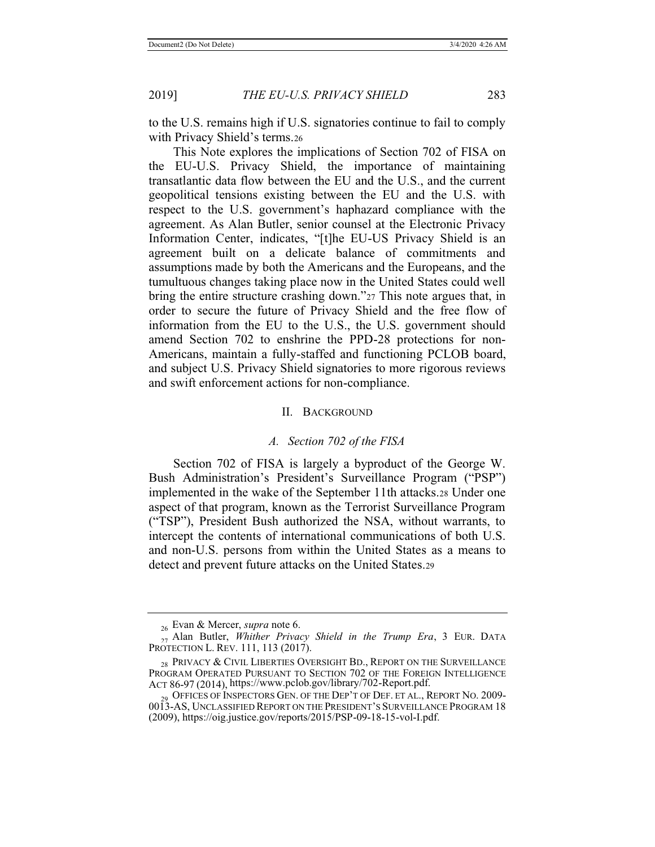to the U.S. remains high if U.S. signatories continue to fail to comply with Privacy Shield's terms.<sup>26</sup>

This Note explores the implications of Section 702 of FISA on the EU-U.S. Privacy Shield, the importance of maintaining transatlantic data flow between the EU and the U.S., and the current geopolitical tensions existing between the EU and the U.S. with respect to the U.S. government's haphazard compliance with the agreement. As Alan Butler, senior counsel at the Electronic Privacy Information Center, indicates, "[t]he EU-US Privacy Shield is an agreement built on a delicate balance of commitments and assumptions made by both the Americans and the Europeans, and the tumultuous changes taking place now in the United States could well bring the entire structure crashing down."27 This note argues that, in order to secure the future of Privacy Shield and the free flow of information from the EU to the U.S., the U.S. government should amend Section 702 to enshrine the PPD-28 protections for non-Americans, maintain a fully-staffed and functioning PCLOB board, and subject U.S. Privacy Shield signatories to more rigorous reviews and swift enforcement actions for non-compliance.

#### II. BACKGROUND

#### *A. Section 702 of the FISA*

Section 702 of FISA is largely a byproduct of the George W. Bush Administration's President's Surveillance Program ("PSP") implemented in the wake of the September 11th attacks.28 Under one aspect of that program, known as the Terrorist Surveillance Program ("TSP"), President Bush authorized the NSA, without warrants, to intercept the contents of international communications of both U.S. and non-U.S. persons from within the United States as a means to detect and prevent future attacks on the United States.29

<sup>26</sup> Evan & Mercer, *supra* note 6.

<sup>27</sup> Alan Butler, *Whither Privacy Shield in the Trump Era*, 3 EUR. DATA PROTECTION L. REV. 111, 113 (2017).

<sup>&</sup>lt;sub>28</sub> PRIVACY & CIVIL LIBERTIES OVERSIGHT BD., REPORT ON THE SURVEILLANCE PROGRAM OPERATED PURSUANT TO SECTION 702 OF THE FOREIGN INTELLIGENCE ACT 86-97 (2014), https://www.pclob.gov/library/702-Report.pdf.

<sup>9</sup> OFFICES OF INSPECTORS GEN. OF THE DEP'T OF DEF. ET AL., REPORT NO. 2009-0013-AS, UNCLASSIFIED REPORT ON THE PRESIDENT'S SURVEILLANCE PROGRAM 18 (2009), https://oig.justice.gov/reports/2015/PSP-09-18-15-vol-I.pdf.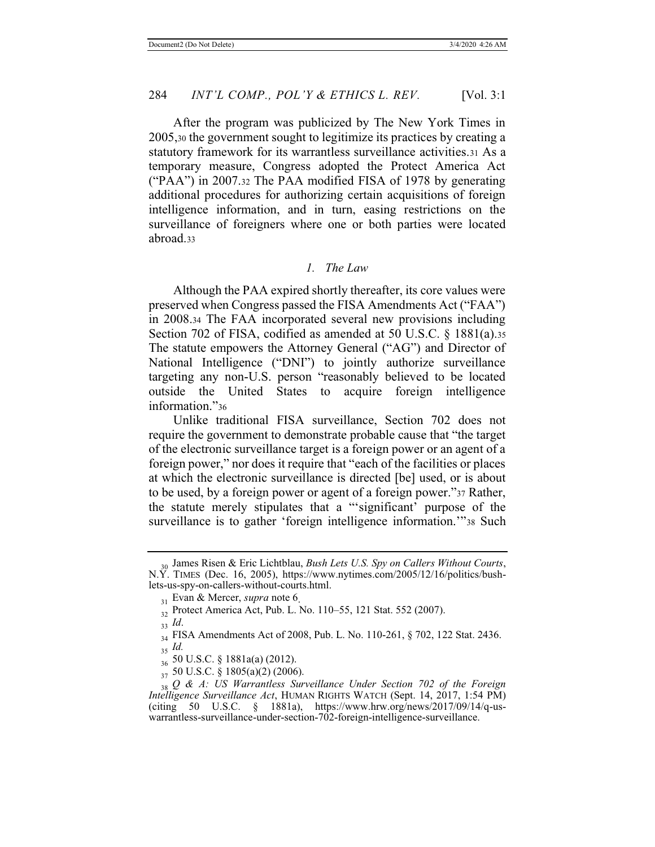After the program was publicized by The New York Times in 2005,30 the government sought to legitimize its practices by creating a statutory framework for its warrantless surveillance activities.31 As a temporary measure, Congress adopted the Protect America Act ("PAA") in 2007.32 The PAA modified FISA of 1978 by generating additional procedures for authorizing certain acquisitions of foreign intelligence information, and in turn, easing restrictions on the surveillance of foreigners where one or both parties were located abroad.33

#### *1. The Law*

Although the PAA expired shortly thereafter, its core values were preserved when Congress passed the FISA Amendments Act ("FAA") in 2008.34 The FAA incorporated several new provisions including Section 702 of FISA, codified as amended at 50 U.S.C. § 1881(a).35 The statute empowers the Attorney General ("AG") and Director of National Intelligence ("DNI") to jointly authorize surveillance targeting any non-U.S. person "reasonably believed to be located outside the United States to acquire foreign intelligence information."36

Unlike traditional FISA surveillance, Section 702 does not require the government to demonstrate probable cause that "the target of the electronic surveillance target is a foreign power or an agent of a foreign power," nor does it require that "each of the facilities or places at which the electronic surveillance is directed [be] used, or is about to be used, by a foreign power or agent of a foreign power."37 Rather, the statute merely stipulates that a "'significant' purpose of the surveillance is to gather 'foreign intelligence information.'"38 Such

<sup>30</sup> James Risen & Eric Lichtblau, *Bush Lets U.S. Spy on Callers Without Courts*, N.Y. TIMES (Dec. 16, 2005), https://www.nytimes.com/2005/12/16/politics/bushlets-us-spy-on-callers-without-courts.html.

<sup>31</sup> Evan & Mercer, *supra* note 6.

<sup>32</sup> Protect America Act, Pub. L. No. 110–55, 121 Stat. 552 (2007).

<sup>33</sup> *Id*.

<sup>34</sup> FISA Amendments Act of 2008, Pub. L. No. 110-261, § 702, 122 Stat. 2436. <sup>35</sup> *Id.*

<sup>36</sup> 50 U.S.C. § 1881a(a) (2012).

<sup>37</sup> 50 U.S.C. § 1805(a)(2) (2006).

<sup>38</sup> *Q & A: US Warrantless Surveillance Under Section 702 of the Foreign Intelligence Surveillance Act*, HUMAN RIGHTS WATCH (Sept. 14, 2017, 1:54 PM) (citing 50 U.S.C. § 1881a), https://www.hrw.org/news/2017/09/14/q-uswarrantless-surveillance-under-section-702-foreign-intelligence-surveillance.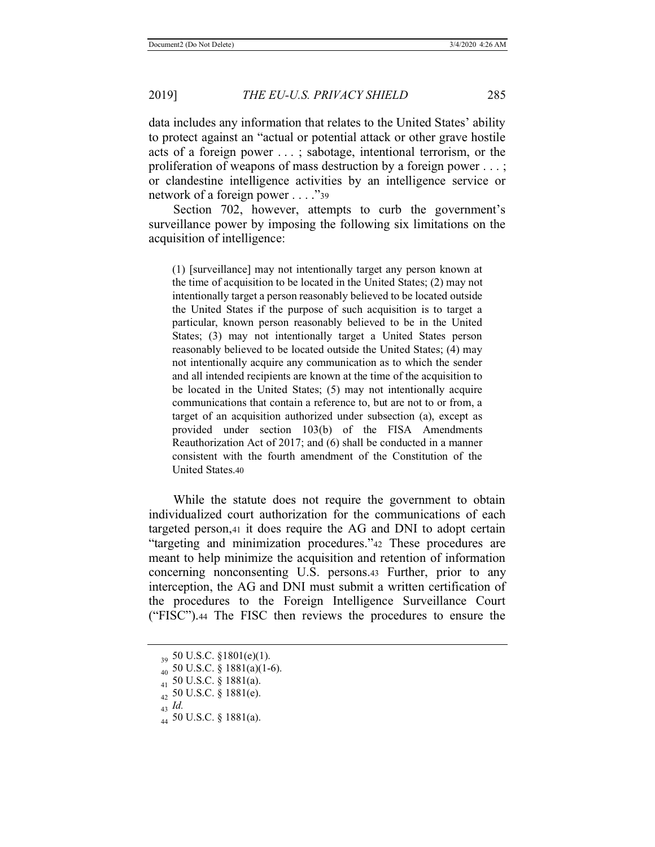data includes any information that relates to the United States' ability to protect against an "actual or potential attack or other grave hostile acts of a foreign power . . . ; sabotage, intentional terrorism, or the proliferation of weapons of mass destruction by a foreign power . . . ; or clandestine intelligence activities by an intelligence service or network of a foreign power . . . ."39

Section 702, however, attempts to curb the government's surveillance power by imposing the following six limitations on the acquisition of intelligence:

(1) [surveillance] may not intentionally target any person known at the time of acquisition to be located in the United States; (2) may not intentionally target a person reasonably believed to be located outside the United States if the purpose of such acquisition is to target a particular, known person reasonably believed to be in the United States; (3) may not intentionally target a United States person reasonably believed to be located outside the United States; (4) may not intentionally acquire any communication as to which the sender and all intended recipients are known at the time of the acquisition to be located in the United States; (5) may not intentionally acquire communications that contain a reference to, but are not to or from, a target of an acquisition authorized under subsection (a), except as provided under section 103(b) of the FISA Amendments Reauthorization Act of 2017; and (6) shall be conducted in a manner consistent with the fourth amendment of the Constitution of the United States.40

While the statute does not require the government to obtain individualized court authorization for the communications of each targeted person,41 it does require the AG and DNI to adopt certain "targeting and minimization procedures."42 These procedures are meant to help minimize the acquisition and retention of information concerning nonconsenting U.S. persons.43 Further, prior to any interception, the AG and DNI must submit a written certification of the procedures to the Foreign Intelligence Surveillance Court ("FISC").44 The FISC then reviews the procedures to ensure the

<sup>43</sup> *Id.*

 $_{20}$  50 U.S.C. §1801(e)(1).

<sup>40</sup> 50 U.S.C. § 1881(a)(1-6).

<sup>41</sup> 50 U.S.C. § 1881(a).

 $_{42}$  50 U.S.C. § 1881(e).

 $_{44}$  50 U.S.C. § 1881(a).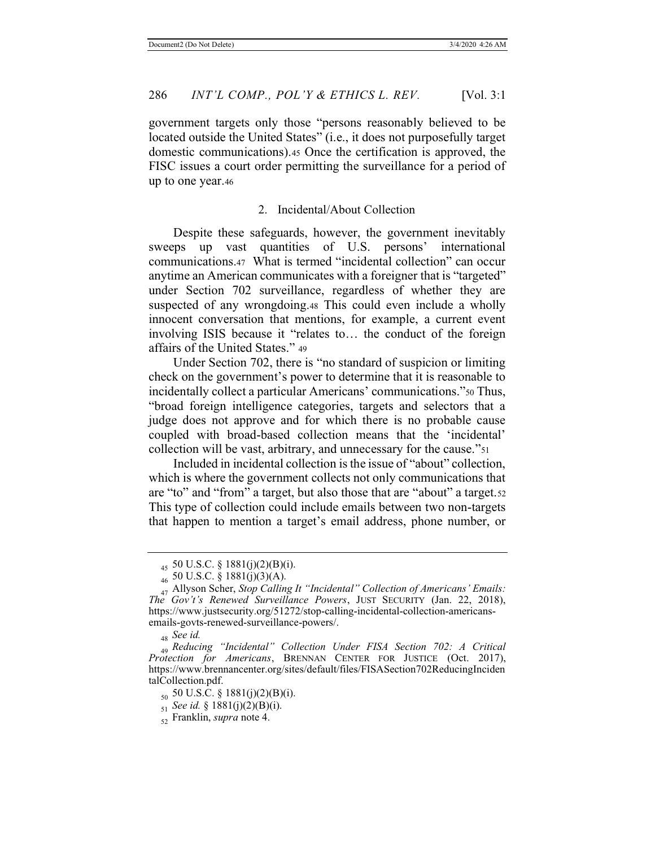government targets only those "persons reasonably believed to be located outside the United States" (i.e., it does not purposefully target domestic communications).45 Once the certification is approved, the FISC issues a court order permitting the surveillance for a period of up to one year.46

#### 2. Incidental/About Collection

Despite these safeguards, however, the government inevitably sweeps up vast quantities of U.S. persons' international communications.47 What is termed "incidental collection" can occur anytime an American communicates with a foreigner that is "targeted" under Section 702 surveillance, regardless of whether they are suspected of any wrongdoing.48 This could even include a wholly innocent conversation that mentions, for example, a current event involving ISIS because it "relates to… the conduct of the foreign affairs of the United States." <sup>49</sup>

Under Section 702, there is "no standard of suspicion or limiting check on the government's power to determine that it is reasonable to incidentally collect a particular Americans' communications."50 Thus, "broad foreign intelligence categories, targets and selectors that a judge does not approve and for which there is no probable cause coupled with broad-based collection means that the 'incidental' collection will be vast, arbitrary, and unnecessary for the cause."51

Included in incidental collection is the issue of "about" collection, which is where the government collects not only communications that are "to" and "from" a target, but also those that are "about" a target.<sup>52</sup> This type of collection could include emails between two non-targets that happen to mention a target's email address, phone number, or

<sup>45 50</sup> U.S.C. § 1881(j)(2)(B)(i).

 $_{46}$  50 U.S.C. § 1881(j)(3)(A).

<sup>47</sup> Allyson Scher, *Stop Calling It "Incidental" Collection of Americans' Emails: The Gov't's Renewed Surveillance Powers*, JUST SECURITY (Jan. 22, 2018), https://www.justsecurity.org/51272/stop-calling-incidental-collection-americansemails-govts-renewed-surveillance-powers/.

<sup>48</sup> *See id.*

<sup>49</sup> *Reducing "Incidental" Collection Under FISA Section 702: A Critical Protection for Americans*, BRENNAN CENTER FOR JUSTICE (Oct. 2017), https://www.brennancenter.org/sites/default/files/FISASection702ReducingInciden talCollection.pdf.

 $_{50}$  50 U.S.C. § 1881(j)(2)(B)(i).

<sup>51</sup> *See id.* § 1881(j)(2)(B)(i).

<sup>52</sup> Franklin, *supra* note 4.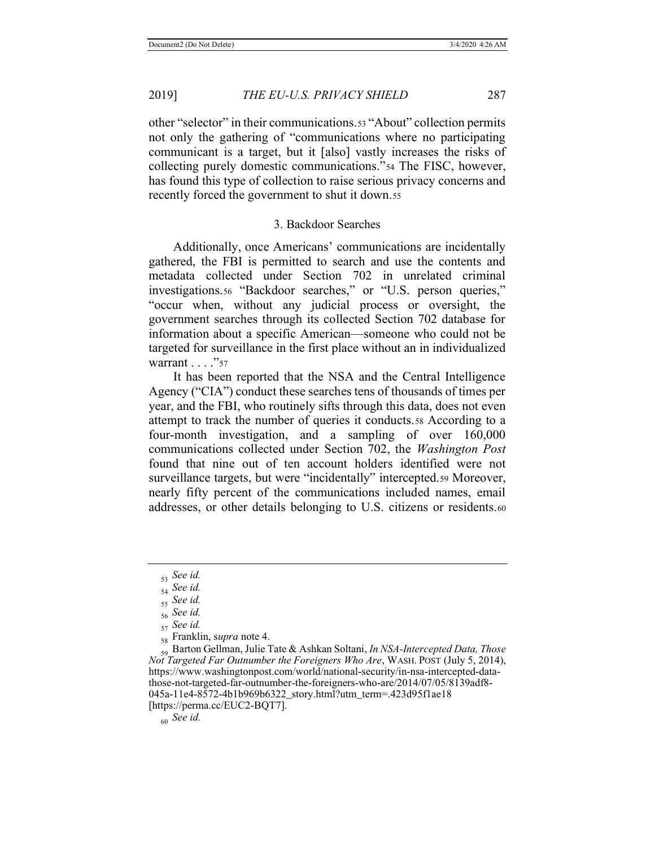other "selector" in their communications.<sup>53</sup> "About" collection permits not only the gathering of "communications where no participating communicant is a target, but it [also] vastly increases the risks of collecting purely domestic communications."54 The FISC, however, has found this type of collection to raise serious privacy concerns and recently forced the government to shut it down.55

### 3. Backdoor Searches

Additionally, once Americans' communications are incidentally gathered, the FBI is permitted to search and use the contents and metadata collected under Section 702 in unrelated criminal investigations.56 "Backdoor searches," or "U.S. person queries," "occur when, without any judicial process or oversight, the government searches through its collected Section 702 database for information about a specific American—someone who could not be targeted for surveillance in the first place without an in individualized warrant . . . . "57

It has been reported that the NSA and the Central Intelligence Agency ("CIA") conduct these searches tens of thousands of times per year, and the FBI, who routinely sifts through this data, does not even attempt to track the number of queries it conducts.58 According to a four-month investigation, and a sampling of over 160,000 communications collected under Section 702, the *Washington Post* found that nine out of ten account holders identified were not surveillance targets, but were "incidentally" intercepted.59 Moreover, nearly fifty percent of the communications included names, email addresses, or other details belonging to U.S. citizens or residents.60

60 *See id.*

<sup>53</sup> *See id.*

<sup>54</sup> *See id.*

<sup>55</sup> *See id.*

<sup>56</sup> *See id.*

<sup>57</sup> *See id.*

<sup>58</sup> Franklin, s*upra* note 4.

<sup>59</sup> Barton Gellman, Julie Tate & Ashkan Soltani, *In NSA-Intercepted Data, Those Not Targeted Far Outnumber the Foreigners Who Are*, WASH. POST (July 5, 2014), https://www.washingtonpost.com/world/national-security/in-nsa-intercepted-datathose-not-targeted-far-outnumber-the-foreigners-who-are/2014/07/05/8139adf8- 045a-11e4-8572-4b1b969b6322\_story.html?utm\_term=.423d95f1ae18 [https://perma.cc/EUC2-BQT7].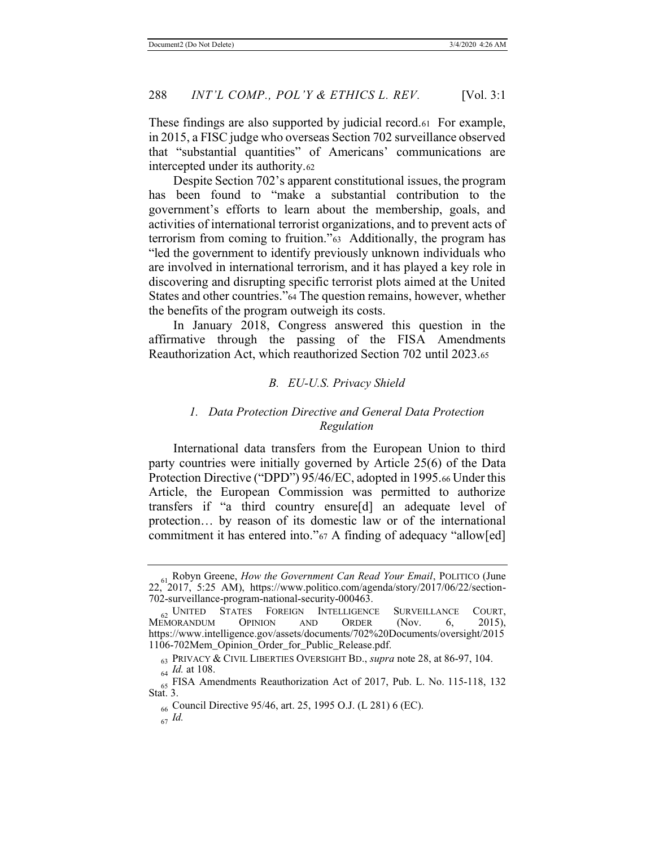These findings are also supported by judicial record.61 For example, in 2015, a FISC judge who overseas Section 702 surveillance observed that "substantial quantities" of Americans' communications are intercepted under its authority.62

Despite Section 702's apparent constitutional issues, the program has been found to "make a substantial contribution to the government's efforts to learn about the membership, goals, and activities of international terrorist organizations, and to prevent acts of terrorism from coming to fruition."63 Additionally, the program has "led the government to identify previously unknown individuals who are involved in international terrorism, and it has played a key role in discovering and disrupting specific terrorist plots aimed at the United States and other countries."64 The question remains, however, whether the benefits of the program outweigh its costs.

In January 2018, Congress answered this question in the affirmative through the passing of the FISA Amendments Reauthorization Act, which reauthorized Section 702 until 2023.65

### *B. EU-U.S. Privacy Shield*

# *1. Data Protection Directive and General Data Protection Regulation*

International data transfers from the European Union to third party countries were initially governed by Article 25(6) of the Data Protection Directive ("DPD") 95/46/EC, adopted in 1995.66 Under this Article, the European Commission was permitted to authorize transfers if "a third country ensure[d] an adequate level of protection… by reason of its domestic law or of the international commitment it has entered into."<sup>67</sup> A finding of adequacy "allow[ed]

<sup>61</sup> Robyn Greene, *How the Government Can Read Your Email*, POLITICO (June 22, 2017, 5:25 AM), https://www.politico.com/agenda/story/2017/06/22/section-702-surveillance-program-national-security-000463.

 $\frac{62}{100}$  United States Foreign Intelligence Surveillance Court,<br>EMORANDUM OPINION AND ORDER (Nov. 6, 2015), MEMORANDUM https://www.intelligence.gov/assets/documents/702%20Documents/oversight/2015 1106-702Mem\_Opinion\_Order\_for\_Public\_Release.pdf.

<sup>63</sup> PRIVACY & CIVIL LIBERTIES OVERSIGHT BD., *supra* note 28, at 86-97, 104. <sup>64</sup> *Id.* at 108.

<sup>&</sup>lt;sub>65</sub> FISA Amendments Reauthorization Act of 2017, Pub. L. No. 115-118, 132 Stat. 3.

<sup>66</sup> Council Directive 95/46, art. 25, 1995 O.J. (L 281) 6 (EC).

<sup>67</sup> *Id.*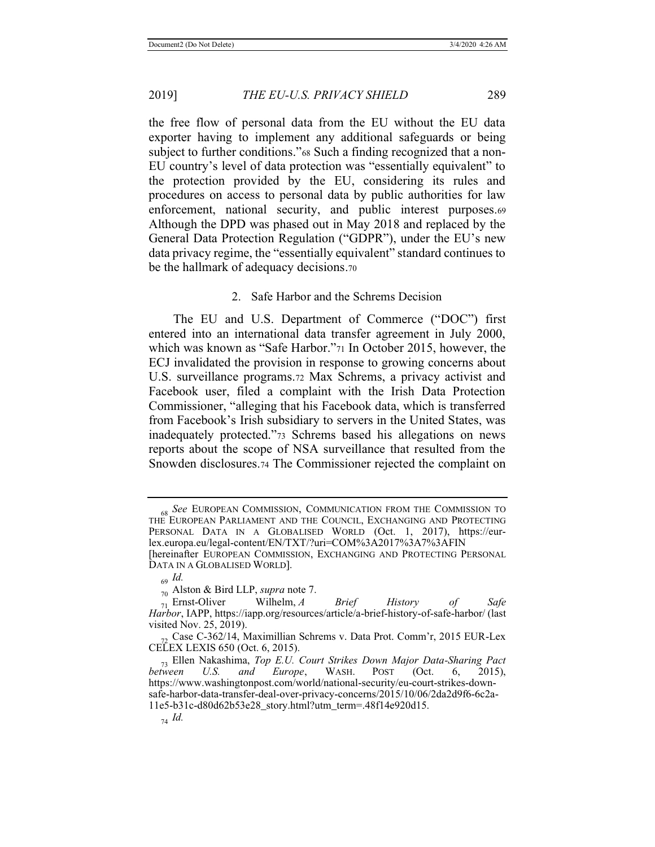the free flow of personal data from the EU without the EU data exporter having to implement any additional safeguards or being subject to further conditions."68 Such a finding recognized that a non-EU country's level of data protection was "essentially equivalent" to the protection provided by the EU, considering its rules and procedures on access to personal data by public authorities for law enforcement, national security, and public interest purposes.69 Although the DPD was phased out in May 2018 and replaced by the General Data Protection Regulation ("GDPR"), under the EU's new data privacy regime, the "essentially equivalent" standard continues to be the hallmark of adequacy decisions.70

### 2. Safe Harbor and the Schrems Decision

The EU and U.S. Department of Commerce ("DOC") first entered into an international data transfer agreement in July 2000, which was known as "Safe Harbor."71 In October 2015, however, the ECJ invalidated the provision in response to growing concerns about U.S. surveillance programs.72 Max Schrems, a privacy activist and Facebook user, filed a complaint with the Irish Data Protection Commissioner, "alleging that his Facebook data, which is transferred from Facebook's Irish subsidiary to servers in the United States, was inadequately protected."73 Schrems based his allegations on news reports about the scope of NSA surveillance that resulted from the Snowden disclosures.74 The Commissioner rejected the complaint on

<sup>68</sup> *See* EUROPEAN COMMISSION, COMMUNICATION FROM THE COMMISSION TO THE EUROPEAN PARLIAMENT AND THE COUNCIL, EXCHANGING AND PROTECTING PERSONAL DATA IN A GLOBALISED WORLD (Oct. 1, 2017), https://eurlex.europa.eu/legal-content/EN/TXT/?uri=COM%3A2017%3A7%3AFIN [hereinafter EUROPEAN COMMISSION, EXCHANGING AND PROTECTING PERSONAL

DATA IN A GLOBALISED WORLD].

<sup>69</sup> *Id.*

 $_{70}$  Alston & Bird LLP, *supra* note 7.<br>  $_{71}$  Ernst-Oliver Wilhelm, *A* <sup>71</sup> Ernst-Oliver Wilhelm, *A Brief History of Safe Harbor*, IAPP, https://iapp.org/resources/article/a-brief-history-of-safe-harbor/ (last visited Nov. 25, 2019).

<sup>72</sup> Case C-362/14, Maximillian Schrems v. Data Prot. Comm'r, 2015 EUR-Lex CELEX LEXIS 650 (Oct. 6, 2015).

<sup>73</sup> Ellen Nakashima, *Top E.U. Court Strikes Down Major Data-Sharing Pact between U.S. and Europe*, WASH. POST (Oct. 6, 2015), https://www.washingtonpost.com/world/national-security/eu-court-strikes-downsafe-harbor-data-transfer-deal-over-privacy-concerns/2015/10/06/2da2d9f6-6c2a-11e5-b31c-d80d62b53e28\_story.html?utm\_term=.48f14e920d15.

<sup>74</sup> *Id.*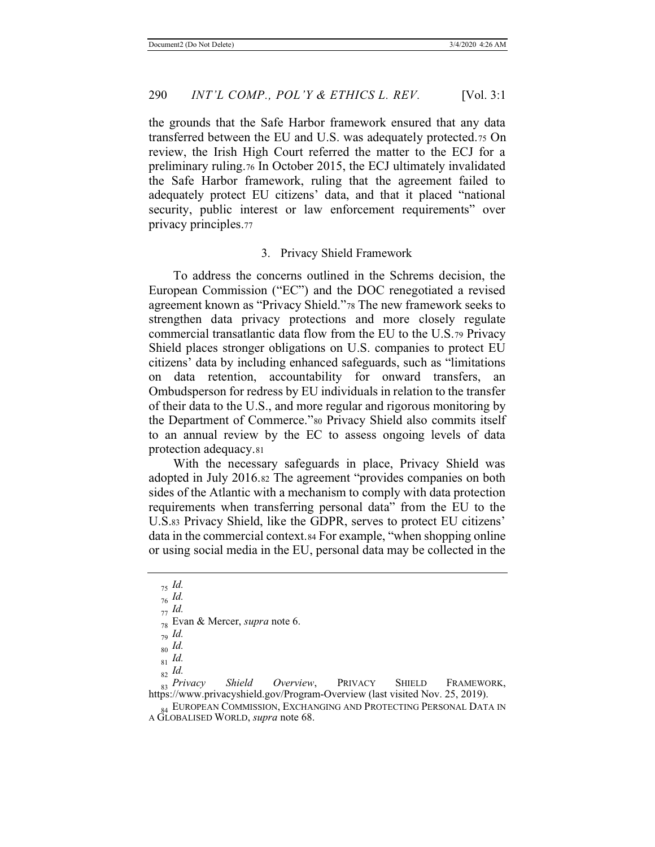the grounds that the Safe Harbor framework ensured that any data transferred between the EU and U.S. was adequately protected.75 On review, the Irish High Court referred the matter to the ECJ for a preliminary ruling.76 In October 2015, the ECJ ultimately invalidated the Safe Harbor framework, ruling that the agreement failed to adequately protect EU citizens' data, and that it placed "national security, public interest or law enforcement requirements" over privacy principles.77

#### 3. Privacy Shield Framework

To address the concerns outlined in the Schrems decision, the European Commission ("EC") and the DOC renegotiated a revised agreement known as "Privacy Shield."78 The new framework seeks to strengthen data privacy protections and more closely regulate commercial transatlantic data flow from the EU to the U.S.79 Privacy Shield places stronger obligations on U.S. companies to protect EU citizens' data by including enhanced safeguards, such as "limitations on data retention, accountability for onward transfers, an Ombudsperson for redress by EU individuals in relation to the transfer of their data to the U.S., and more regular and rigorous monitoring by the Department of Commerce."80 Privacy Shield also commits itself to an annual review by the EC to assess ongoing levels of data protection adequacy.81

With the necessary safeguards in place, Privacy Shield was adopted in July 2016.82 The agreement "provides companies on both sides of the Atlantic with a mechanism to comply with data protection requirements when transferring personal data" from the EU to the U.S.83 Privacy Shield, like the GDPR, serves to protect EU citizens' data in the commercial context.84 For example, "when shopping online or using social media in the EU, personal data may be collected in the

<sup>82</sup> *Id.* 83 Privacy Shield Overview, PRIVACY SHIELD FRAMEWORK, https://www.privacyshield.gov/Program-Overview (last visited Nov. 25, 2019).

84 EUROPEAN COMMISSION, EXCHANGING AND PROTECTING PERSONAL DATA IN A GLOBALISED WORLD, *supra* note 68.

<sup>75</sup> *Id.*

<sup>76</sup> *Id.*

<sup>77</sup> *Id.*

<sup>78</sup> Evan & Mercer, *supra* note 6.

<sup>79</sup> *Id.*

<sup>80</sup> *Id.*

<sup>81</sup> *Id.*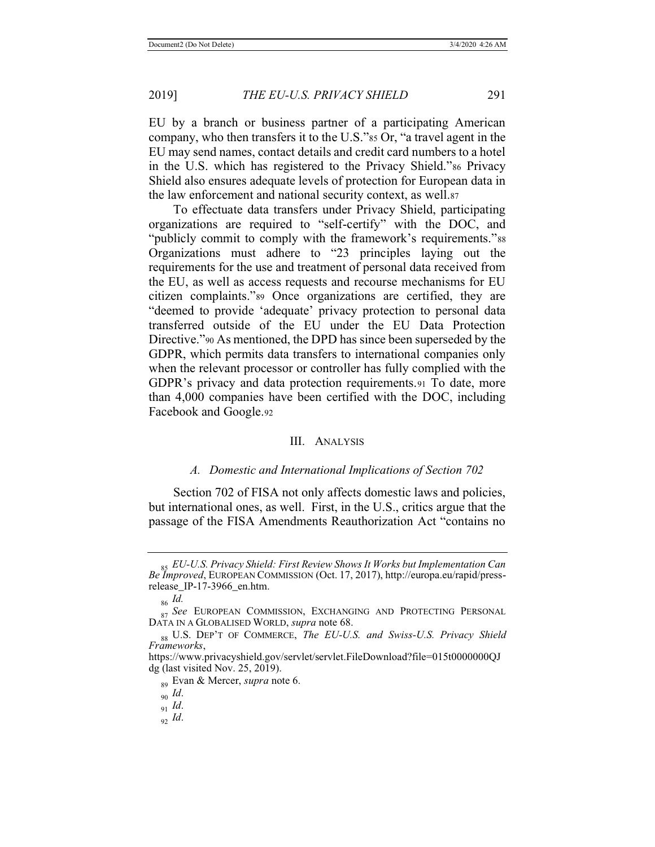EU by a branch or business partner of a participating American company, who then transfers it to the U.S."<sup>85</sup> Or, "a travel agent in the EU may send names, contact details and credit card numbers to a hotel in the U.S. which has registered to the Privacy Shield."86 Privacy Shield also ensures adequate levels of protection for European data in the law enforcement and national security context, as well.87

To effectuate data transfers under Privacy Shield, participating organizations are required to "self-certify" with the DOC, and "publicly commit to comply with the framework's requirements."<sup>88</sup> Organizations must adhere to "23 principles laying out the requirements for the use and treatment of personal data received from the EU, as well as access requests and recourse mechanisms for EU citizen complaints."89 Once organizations are certified, they are "deemed to provide 'adequate' privacy protection to personal data transferred outside of the EU under the EU Data Protection Directive."90 As mentioned, the DPD has since been superseded by the GDPR, which permits data transfers to international companies only when the relevant processor or controller has fully complied with the GDPR's privacy and data protection requirements.91 To date, more than 4,000 companies have been certified with the DOC, including Facebook and Google.92

#### III. ANALYSIS

#### *A. Domestic and International Implications of Section 702*

Section 702 of FISA not only affects domestic laws and policies, but international ones, as well. First, in the U.S., critics argue that the passage of the FISA Amendments Reauthorization Act "contains no

<sup>85</sup> *EU-U.S. Privacy Shield: First Review Shows It Works but Implementation Can Be Improved*, EUROPEAN COMMISSION (Oct. 17, 2017), http://europa.eu/rapid/pressrelease\_IP-17-3966\_en.htm.

<sup>86</sup> *Id.*

<sup>&</sup>lt;sub>87</sub> See EUROPEAN COMMISSION, EXCHANGING AND PROTECTING PERSONAL DATA IN A GLOBALISED WORLD, *supra* note 68.

<sup>88</sup> U.S. DEP'T OF COMMERCE, *The EU-U.S. and Swiss-U.S. Privacy Shield Frameworks*,

https://www.privacyshield.gov/servlet/servlet.FileDownload?file=015t0000000QJ dg (last visited Nov. 25, 2019).

<sup>89</sup> Evan & Mercer, *supra* note 6.

<sup>90</sup> *Id*.

<sup>91</sup> *Id*.

<sup>92</sup> *Id*.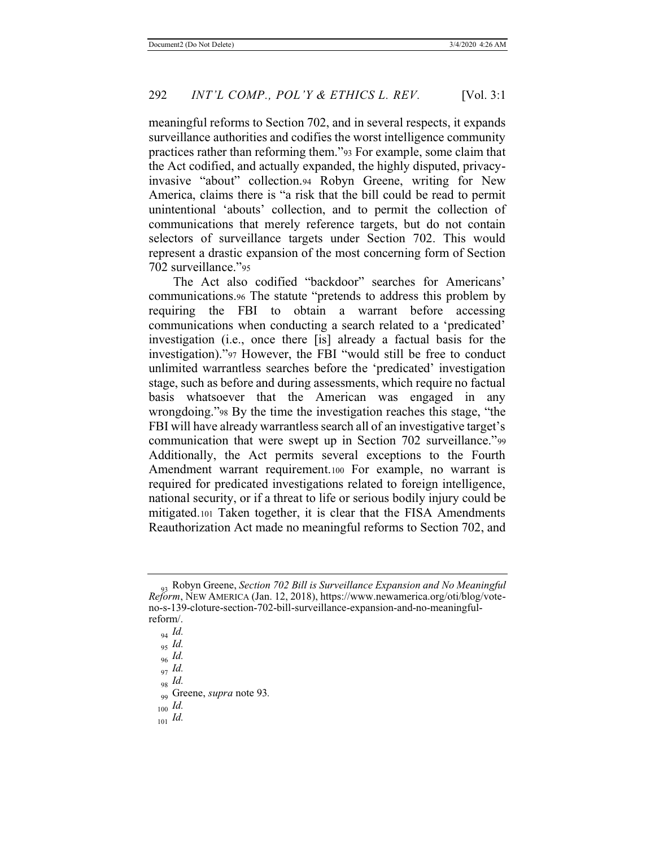meaningful reforms to Section 702, and in several respects, it expands surveillance authorities and codifies the worst intelligence community practices rather than reforming them."93 For example, some claim that the Act codified, and actually expanded, the highly disputed, privacyinvasive "about" collection.94 Robyn Greene, writing for New America, claims there is "a risk that the bill could be read to permit unintentional 'abouts' collection, and to permit the collection of communications that merely reference targets, but do not contain selectors of surveillance targets under Section 702. This would represent a drastic expansion of the most concerning form of Section 702 surveillance."95

The Act also codified "backdoor" searches for Americans' communications.96 The statute "pretends to address this problem by requiring the FBI to obtain a warrant before accessing communications when conducting a search related to a 'predicated' investigation (i.e., once there [is] already a factual basis for the investigation)."<sup>97</sup> However, the FBI "would still be free to conduct unlimited warrantless searches before the 'predicated' investigation stage, such as before and during assessments, which require no factual basis whatsoever that the American was engaged in any wrongdoing."98 By the time the investigation reaches this stage, "the FBI will have already warrantless search all of an investigative target's communication that were swept up in Section 702 surveillance."<sup>99</sup> Additionally, the Act permits several exceptions to the Fourth Amendment warrant requirement.100 For example, no warrant is required for predicated investigations related to foreign intelligence, national security, or if a threat to life or serious bodily injury could be mitigated.101 Taken together, it is clear that the FISA Amendments Reauthorization Act made no meaningful reforms to Section 702, and

<sup>100</sup> *Id.*

<sup>93</sup> Robyn Greene, *Section 702 Bill is Surveillance Expansion and No Meaningful Reform*, NEW AMERICA (Jan. 12, 2018), https://www.newamerica.org/oti/blog/voteno-s-139-cloture-section-702-bill-surveillance-expansion-and-no-meaningfulreform/.

<sup>94</sup> *Id.*

<sup>95</sup> *Id.*

<sup>96</sup> *Id.*

<sup>97</sup> *Id.*

<sup>98</sup> *Id.*

<sup>99</sup> Greene, *supra* note 93*.*

<sup>101</sup> *Id.*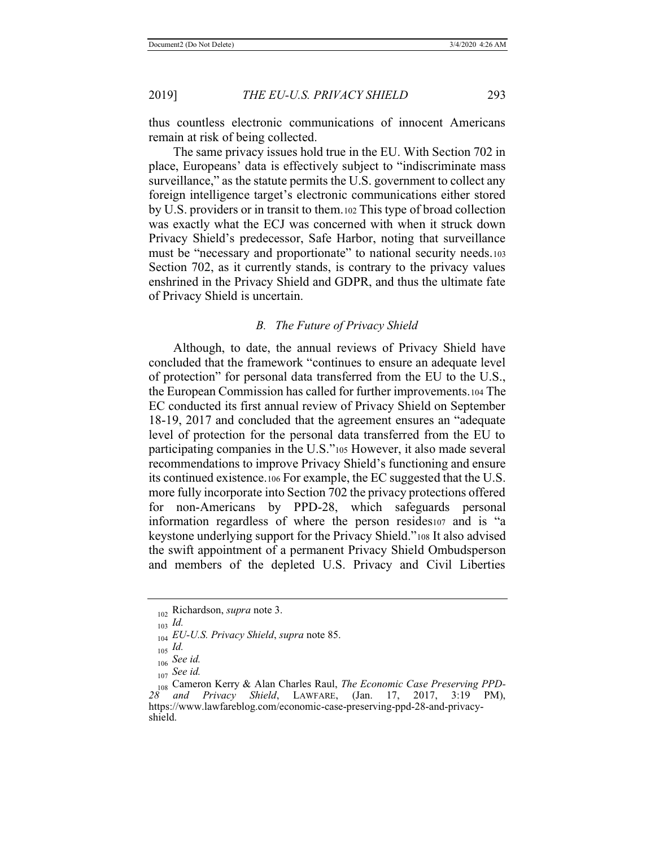thus countless electronic communications of innocent Americans remain at risk of being collected.

The same privacy issues hold true in the EU. With Section 702 in place, Europeans' data is effectively subject to "indiscriminate mass surveillance," as the statute permits the U.S. government to collect any foreign intelligence target's electronic communications either stored by U.S. providers or in transit to them.102 This type of broad collection was exactly what the ECJ was concerned with when it struck down Privacy Shield's predecessor, Safe Harbor, noting that surveillance must be "necessary and proportionate" to national security needs.<sup>103</sup> Section 702, as it currently stands, is contrary to the privacy values enshrined in the Privacy Shield and GDPR, and thus the ultimate fate of Privacy Shield is uncertain.

#### *B. The Future of Privacy Shield*

Although, to date, the annual reviews of Privacy Shield have concluded that the framework "continues to ensure an adequate level of protection" for personal data transferred from the EU to the U.S., the European Commission has called for further improvements.104 The EC conducted its first annual review of Privacy Shield on September 18-19, 2017 and concluded that the agreement ensures an "adequate level of protection for the personal data transferred from the EU to participating companies in the U.S."105 However, it also made several recommendations to improve Privacy Shield's functioning and ensure its continued existence.106 For example, the EC suggested that the U.S. more fully incorporate into Section 702 the privacy protections offered for non-Americans by PPD-28, which safeguards personal information regardless of where the person resides107 and is "a keystone underlying support for the Privacy Shield."108 It also advised the swift appointment of a permanent Privacy Shield Ombudsperson and members of the depleted U.S. Privacy and Civil Liberties

<sup>102</sup> Richardson, *supra* note 3.

<sup>103</sup> *Id.*

<sup>104</sup> *EU-U.S. Privacy Shield*, *supra* note 85.

<sup>105</sup> *Id.*

<sup>106</sup> *See id.*

<sup>107</sup> *See id.*

<sup>108</sup> Cameron Kerry & Alan Charles Raul, *The Economic Case Preserving PPD-28 and Privacy Shield*, LAWFARE, (Jan. 17, 2017, 3:19 PM), https://www.lawfareblog.com/economic-case-preserving-ppd-28-and-privacyshield.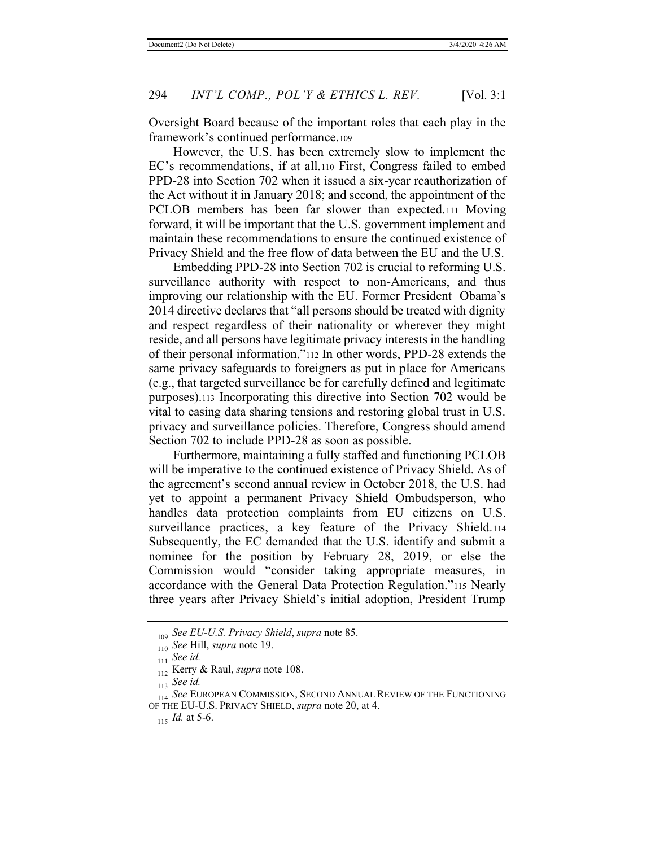Oversight Board because of the important roles that each play in the framework's continued performance.109

However, the U.S. has been extremely slow to implement the EC's recommendations, if at all.110 First, Congress failed to embed PPD-28 into Section 702 when it issued a six-year reauthorization of the Act without it in January 2018; and second, the appointment of the PCLOB members has been far slower than expected.111 Moving forward, it will be important that the U.S. government implement and maintain these recommendations to ensure the continued existence of Privacy Shield and the free flow of data between the EU and the U.S.

Embedding PPD-28 into Section 702 is crucial to reforming U.S. surveillance authority with respect to non-Americans, and thus improving our relationship with the EU. Former President Obama's 2014 directive declares that "all persons should be treated with dignity and respect regardless of their nationality or wherever they might reside, and all persons have legitimate privacy interests in the handling of their personal information."112 In other words, PPD-28 extends the same privacy safeguards to foreigners as put in place for Americans (e.g., that targeted surveillance be for carefully defined and legitimate purposes).113 Incorporating this directive into Section 702 would be vital to easing data sharing tensions and restoring global trust in U.S. privacy and surveillance policies. Therefore, Congress should amend Section 702 to include PPD-28 as soon as possible.

Furthermore, maintaining a fully staffed and functioning PCLOB will be imperative to the continued existence of Privacy Shield. As of the agreement's second annual review in October 2018, the U.S. had yet to appoint a permanent Privacy Shield Ombudsperson, who handles data protection complaints from EU citizens on U.S. surveillance practices, a key feature of the Privacy Shield.114 Subsequently, the EC demanded that the U.S. identify and submit a nominee for the position by February 28, 2019, or else the Commission would "consider taking appropriate measures, in accordance with the General Data Protection Regulation."115 Nearly three years after Privacy Shield's initial adoption, President Trump

<sup>109</sup> *See EU-U.S. Privacy Shield*, *supra* note 85.

<sup>110</sup> *See* Hill, *supra* note 19.

<sup>111</sup> *See id.*

<sup>112</sup> Kerry & Raul, *supra* note 108.

<sup>113</sup> *See id.*

<sup>114</sup> See EUROPEAN COMMISSION, SECOND ANNUAL REVIEW OF THE FUNCTIONING OF THE EU-U.S. PRIVACY SHIELD, *supra* note 20, at 4.

<sup>115</sup> *Id.* at 5-6.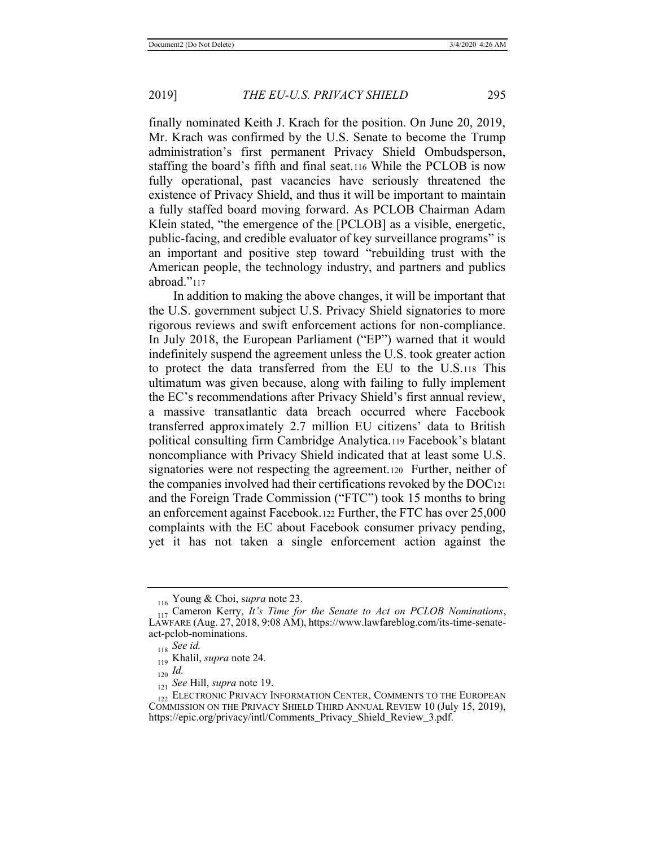finally nominated Keith J. Krach for the position. On June 20, 2019, Mr. Krach was confirmed by the U.S. Senate to become the Trump administration's first permanent Privacy Shield Ombudsperson, staffing the board's fifth and final seat.116 While the PCLOB is now fully operational, past vacancies have seriously threatened the existence of Privacy Shield, and thus it will be important to maintain a fully staffed board moving forward. As PCLOB Chairman Adam Klein stated, "the emergence of the [PCLOB] as a visible, energetic, public-facing, and credible evaluator of key surveillance programs" is an important and positive step toward "rebuilding trust with the American people, the technology industry, and partners and publics abroad."<sup>117</sup>

In addition to making the above changes, it will be important that the U.S. government subject U.S. Privacy Shield signatories to more rigorous reviews and swift enforcement actions for non-compliance. In July 2018, the European Parliament ("EP") warned that it would indefinitely suspend the agreement unless the U.S. took greater action to protect the data transferred from the EU to the U.S.118 This ultimatum was given because, along with failing to fully implement the EC's recommendations after Privacy Shield's first annual review, a massive transatlantic data breach occurred where Facebook transferred approximately 2.7 million EU citizens' data to British political consulting firm Cambridge Analytica.119 Facebook's blatant noncompliance with Privacy Shield indicated that at least some U.S. signatories were not respecting the agreement.120 Further, neither of the companies involved had their certifications revoked by the DOC121 and the Foreign Trade Commission ("FTC") took 15 months to bring an enforcement against Facebook.122 Further, the FTC has over 25,000 complaints with the EC about Facebook consumer privacy pending, yet it has not taken a single enforcement action against the

<sup>116</sup> Young & Choi, s*upra* note 23.

<sup>117</sup> Cameron Kerry, *It's Time for the Senate to Act on PCLOB Nominations*, LAWFARE (Aug. 27, 2018, 9:08 AM), https://www.lawfareblog.com/its-time-senateact-pclob-nominations.

<sup>118</sup> *See id.*

<sup>119</sup> Khalil, *supra* note 24.

 $_{120}$  *Id.* 

<sup>121</sup> *See* Hill, *supra* note 19.

<sup>122</sup> ELECTRONIC PRIVACY INFORMATION CENTER, COMMENTS TO THE EUROPEAN COMMISSION ON THE PRIVACY SHIELD THIRD ANNUAL REVIEW 10 (July 15, 2019), https://epic.org/privacy/intl/Comments\_Privacy\_Shield\_Review\_3.pdf.